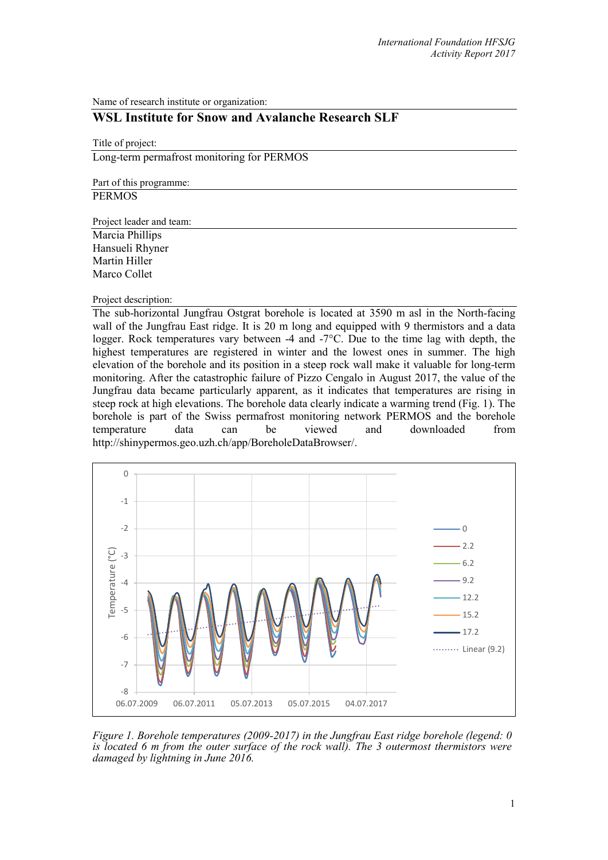Name of research institute or organization:

# **WSL Institute for Snow and Avalanche Research SLF**

Title of project: Long-term permafrost monitoring for PERMOS

Part of this programme: **PERMOS** 

Project leader and team:

Marcia Phillips Hansueli Rhyner Martin Hiller Marco Collet

Project description:

The sub-horizontal Jungfrau Ostgrat borehole is located at 3590 m asl in the North-facing wall of the Jungfrau East ridge. It is 20 m long and equipped with 9 thermistors and a data logger. Rock temperatures vary between -4 and -7°C. Due to the time lag with depth, the highest temperatures are registered in winter and the lowest ones in summer. The high elevation of the borehole and its position in a steep rock wall make it valuable for long-term monitoring. After the catastrophic failure of Pizzo Cengalo in August 2017, the value of the Jungfrau data became particularly apparent, as it indicates that temperatures are rising in steep rock at high elevations. The borehole data clearly indicate a warming trend (Fig. 1). The borehole is part of the Swiss permafrost monitoring network PERMOS and the borehole temperature data can be viewed and downloaded from http://shinypermos.geo.uzh.ch/app/BoreholeDataBrowser/.



*Figure 1. Borehole temperatures (2009-2017) in the Jungfrau East ridge borehole (legend: 0 is located 6 m from the outer surface of the rock wall). The 3 outermost thermistors were damaged by lightning in June 2016.*